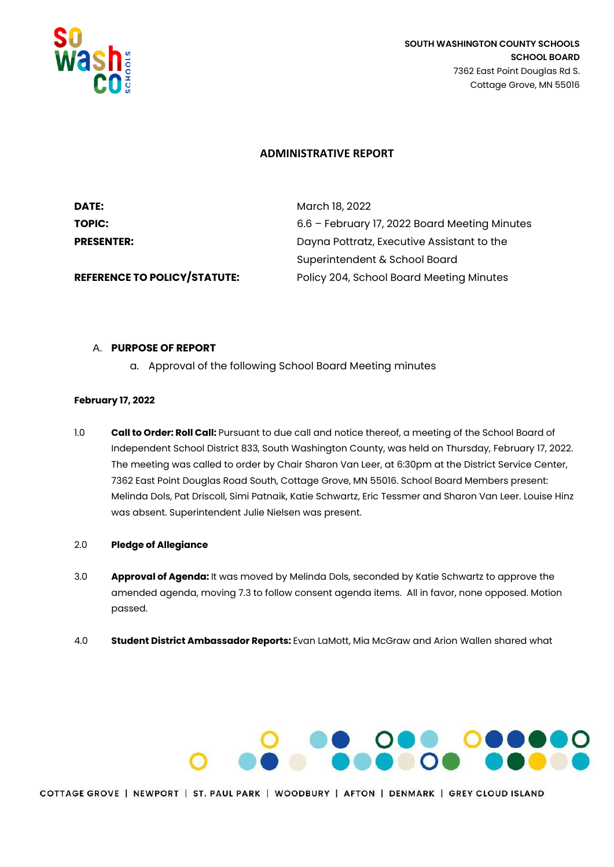

## **ADMINISTRATIVE REPORT**

| <b>DATE:</b>                        | March 18, 2022                                |
|-------------------------------------|-----------------------------------------------|
| TOPIC:                              | 6.6 - February 17, 2022 Board Meeting Minutes |
| <b>PRESENTER:</b>                   | Dayna Pottratz, Executive Assistant to the    |
|                                     | Superintendent & School Board                 |
| <b>REFERENCE TO POLICY/STATUTE:</b> | Policy 204, School Board Meeting Minutes      |

## A. **PURPOSE OF REPORT**

a. Approval of the following School Board Meeting minutes

# **February 17, 2022**

- 1.0 **Call to Order: Roll Call:** Pursuant to due call and notice thereof, a meeting of the School Board of Independent School District 833, South Washington County, was held on Thursday, February 17, 2022. The meeting was called to order by Chair Sharon Van Leer, at 6:30pm at the District Service Center, 7362 East Point Douglas Road South, Cottage Grove, MN 55016. School Board Members present: Melinda Dols, Pat Driscoll, Simi Patnaik, Katie Schwartz, Eric Tessmer and Sharon Van Leer. Louise Hinz was absent. Superintendent Julie Nielsen was present.
- 2.0 **Pledge of Allegiance**
- 3.0 **Approval of Agenda:** It was moved by Melinda Dols, seconded by Katie Schwartz to approve the amended agenda, moving 7.3 to follow consent agenda items. All in favor, none opposed. Motion passed.
- 4.0 **Student District Ambassador Reports:** Evan LaMott, Mia McGraw and Arion Wallen shared what

# **PRODUCED DESCRIPTION OF PRODUCT**

COTTAGE GROVE | NEWPORT | ST. PAUL PARK | WOODBURY | AFTON | DENMARK | GREY CLOUD ISLAND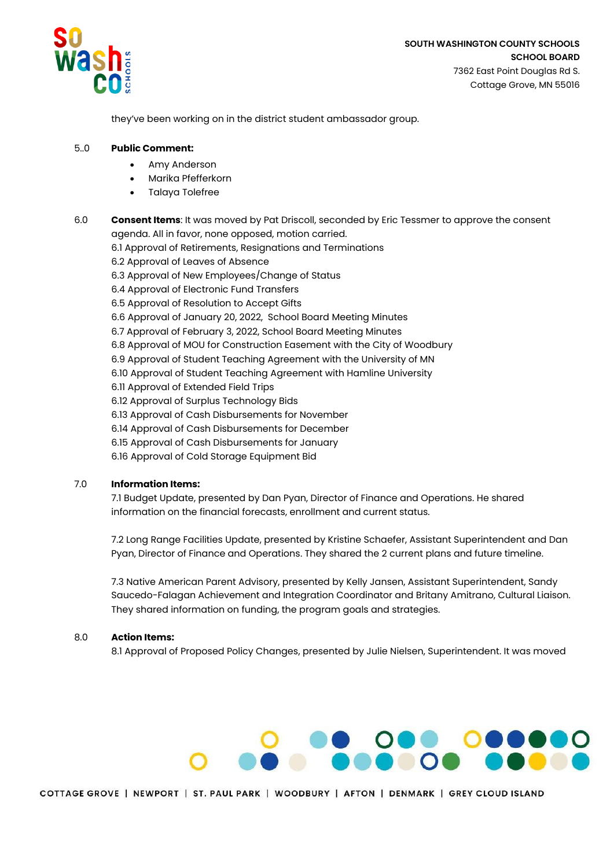

they've been working on in the district student ambassador group.

#### 5..0 **Public Comment:**

- Amy Anderson
- Marika Pfefferkorn
- Talaya Tolefree

6.0 **Consent Items**: It was moved by Pat Driscoll, seconded by Eric Tessmer to approve the consent agenda. All in favor, none opposed, motion carried.

6.1 Approval of Retirements, Resignations and Terminations

- 6.2 Approval of Leaves of Absence
- 6.3 Approval of New Employees/Change of Status
- 6.4 Approval of Electronic Fund Transfers
- 6.5 Approval of Resolution to Accept Gifts
- 6.6 Approval of January 20, 2022, School Board Meeting Minutes
- 6.7 Approval of February 3, 2022, School Board Meeting Minutes
- 6.8 Approval of MOU for Construction Easement with the City of Woodbury
- 6.9 Approval of Student Teaching Agreement with the University of MN
- 6.10 Approval of Student Teaching Agreement with Hamline University
- 6.11 Approval of Extended Field Trips
- 6.12 Approval of Surplus Technology Bids
- 6.13 Approval of Cash Disbursements for November
- 6.14 Approval of Cash Disbursements for December
- 6.15 Approval of Cash Disbursements for January
- 6.16 Approval of Cold Storage Equipment Bid

#### 7.0 **Information Items:**

7.1 Budget Update, presented by Dan Pyan, Director of Finance and Operations. He shared information on the financial forecasts, enrollment and current status.

7.2 Long Range Facilities Update, presented by Kristine Schaefer, Assistant Superintendent and Dan Pyan, Director of Finance and Operations. They shared the 2 current plans and future timeline.

7.3 Native American Parent Advisory, presented by Kelly Jansen, Assistant Superintendent, Sandy Saucedo-Falagan Achievement and Integration Coordinator and Britany Amitrano, Cultural Liaison. They shared information on funding, the program goals and strategies.

#### 8.0 **Action Items:**

8.1 Approval of Proposed Policy Changes, presented by Julie Nielsen, Superintendent. It was moved